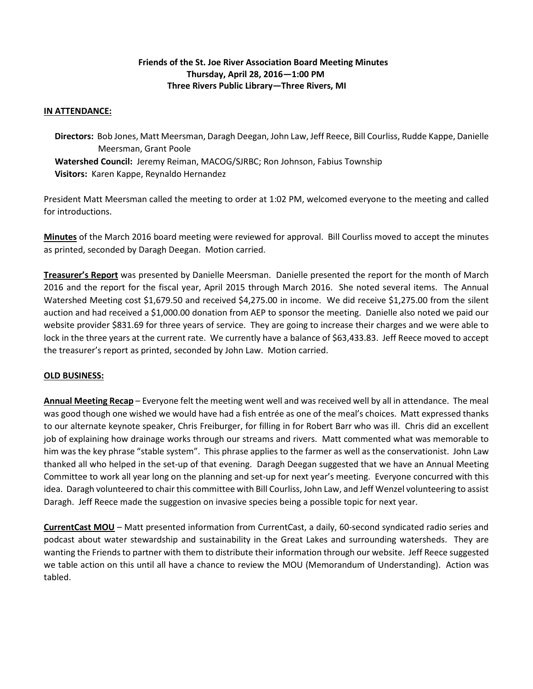# **Friends of the St. Joe River Association Board Meeting Minutes Thursday, April 28, 2016—1:00 PM Three Rivers Public Library—Three Rivers, MI**

# **IN ATTENDANCE:**

 **Directors:** Bob Jones, Matt Meersman, Daragh Deegan, John Law, Jeff Reece, Bill Courliss, Rudde Kappe, Danielle Meersman, Grant Poole **Watershed Council:** Jeremy Reiman, MACOG/SJRBC; Ron Johnson, Fabius Township **Visitors:** Karen Kappe, Reynaldo Hernandez

President Matt Meersman called the meeting to order at 1:02 PM, welcomed everyone to the meeting and called for introductions.

**Minutes** of the March 2016 board meeting were reviewed for approval. Bill Courliss moved to accept the minutes as printed, seconded by Daragh Deegan. Motion carried.

**Treasurer's Report** was presented by Danielle Meersman. Danielle presented the report for the month of March 2016 and the report for the fiscal year, April 2015 through March 2016. She noted several items. The Annual Watershed Meeting cost \$1,679.50 and received \$4,275.00 in income. We did receive \$1,275.00 from the silent auction and had received a \$1,000.00 donation from AEP to sponsor the meeting. Danielle also noted we paid our website provider \$831.69 for three years of service. They are going to increase their charges and we were able to lock in the three years at the current rate. We currently have a balance of \$63,433.83. Jeff Reece moved to accept the treasurer's report as printed, seconded by John Law. Motion carried.

# **OLD BUSINESS:**

**Annual Meeting Recap** – Everyone felt the meeting went well and was received well by all in attendance. The meal was good though one wished we would have had a fish entrée as one of the meal's choices. Matt expressed thanks to our alternate keynote speaker, Chris Freiburger, for filling in for Robert Barr who was ill. Chris did an excellent job of explaining how drainage works through our streams and rivers. Matt commented what was memorable to him was the key phrase "stable system". This phrase applies to the farmer as well as the conservationist. John Law thanked all who helped in the set-up of that evening. Daragh Deegan suggested that we have an Annual Meeting Committee to work all year long on the planning and set-up for next year's meeting. Everyone concurred with this idea. Daragh volunteered to chair this committee with Bill Courliss, John Law, and Jeff Wenzel volunteering to assist Daragh. Jeff Reece made the suggestion on invasive species being a possible topic for next year.

**CurrentCast MOU** – Matt presented information from CurrentCast, a daily, 60-second syndicated radio series and podcast about water stewardship and sustainability in the Great Lakes and surrounding watersheds. They are wanting the Friends to partner with them to distribute their information through our website. Jeff Reece suggested we table action on this until all have a chance to review the MOU (Memorandum of Understanding). Action was tabled.